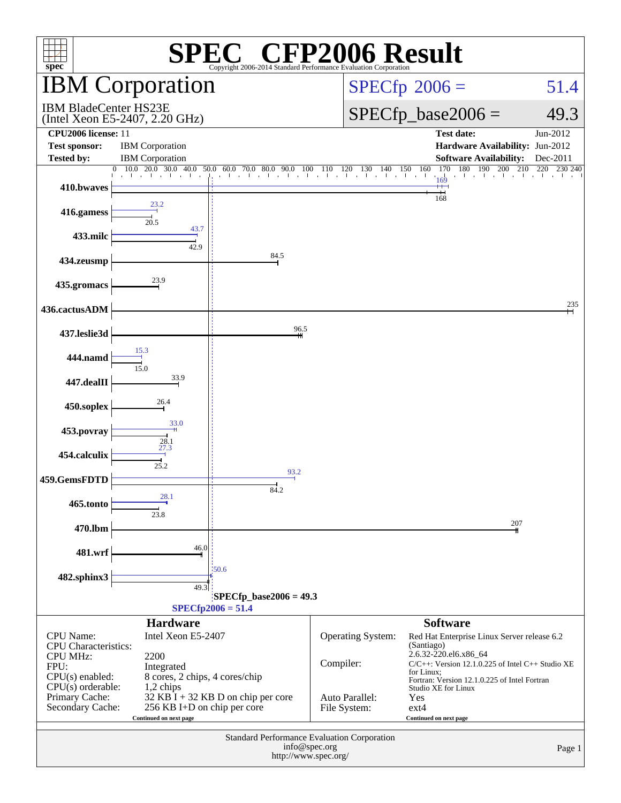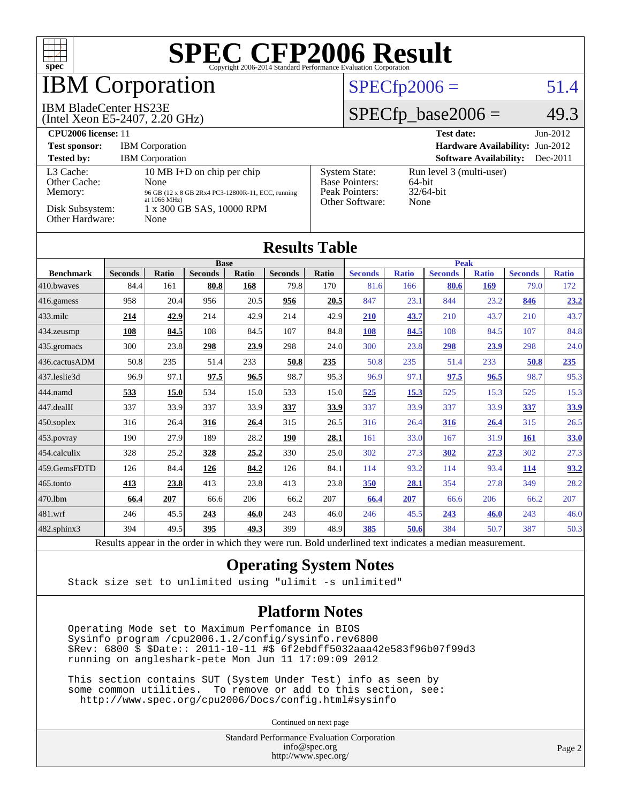

## **BM Corporation**

#### IBM BladeCenter HS23E

(Intel Xeon E5-2407, 2.20 GHz)

#### $SPECfp2006 = 51.4$  $SPECfp2006 = 51.4$

#### $SPECfp\_base2006 = 49.3$

| CPU <sub>2006</sub> license: 11                                            |                                                                                                                                                         |                                                                                    | <b>Test date:</b><br>$Jun-2012$                               |
|----------------------------------------------------------------------------|---------------------------------------------------------------------------------------------------------------------------------------------------------|------------------------------------------------------------------------------------|---------------------------------------------------------------|
| <b>Test sponsor:</b>                                                       | <b>IBM</b> Corporation                                                                                                                                  |                                                                                    | <b>Hardware Availability: Jun-2012</b>                        |
| <b>Tested by:</b>                                                          | <b>IBM</b> Corporation                                                                                                                                  |                                                                                    | <b>Software Availability:</b><br>$Dec-2011$                   |
| L3 Cache:<br>Other Cache:<br>Memory:<br>Disk Subsystem:<br>Other Hardware: | 10 MB I+D on chip per chip<br>None<br>96 GB (12 x 8 GB 2Rx4 PC3-12800R-11, ECC, running<br>at $1066 \text{ MHz}$ )<br>1 x 300 GB SAS, 10000 RPM<br>None | <b>System State:</b><br><b>Base Pointers:</b><br>Peak Pointers:<br>Other Software: | Run level 3 (multi-user)<br>$64$ -bit<br>$32/64$ -bit<br>None |

| <b>Results Table</b> |                |       |                |       |                                                                                      |       |                |              |                |              |                |              |
|----------------------|----------------|-------|----------------|-------|--------------------------------------------------------------------------------------|-------|----------------|--------------|----------------|--------------|----------------|--------------|
|                      | <b>Base</b>    |       |                |       | <b>Peak</b>                                                                          |       |                |              |                |              |                |              |
| <b>Benchmark</b>     | <b>Seconds</b> | Ratio | <b>Seconds</b> | Ratio | <b>Seconds</b>                                                                       | Ratio | <b>Seconds</b> | <b>Ratio</b> | <b>Seconds</b> | <b>Ratio</b> | <b>Seconds</b> | <b>Ratio</b> |
| 410.bwayes           | 84.4           | 161   | 80.8           | 168   | 79.8                                                                                 | 170   | 81.6           | 166          | 80.6           | 169          | 79.0           | 172          |
| $ 416$ .gamess       | 958            | 20.4  | 956            | 20.5  | 956                                                                                  | 20.5  | 847            | 23.1         | 844            | 23.2         | 846            | 23.2         |
| $433$ .milc          | 214            | 42.9  | 214            | 42.9  | 214                                                                                  | 42.9  | 210            | 43.7         | 210            | 43.7         | 210            | 43.7         |
| 434.zeusmp           | 108            | 84.5  | 108            | 84.5  | 107                                                                                  | 84.8  | 108            | 84.5         | 108            | 84.5         | 107            | 84.8         |
| $435$ .gromacs       | 300            | 23.8  | 298            | 23.9  | 298                                                                                  | 24.0  | 300            | 23.8         | 298            | 23.9         | 298            | 24.0         |
| 436.cactusADM        | 50.8           | 235   | 51.4           | 233   | 50.8                                                                                 | 235   | 50.8           | 235          | 51.4           | 233          | 50.8           | 235          |
| 437.leslie3d         | 96.9           | 97.1  | 97.5           | 96.5  | 98.7                                                                                 | 95.3  | 96.9           | 97.1         | 97.5           | 96.5         | 98.7           | 95.3         |
| 444.namd             | 533            | 15.0  | 534            | 15.0  | 533                                                                                  | 15.0  | 525            | <u>15.3</u>  | 525            | 15.3         | 525            | 15.3         |
| $447$ .dealII        | 337            | 33.9  | 337            | 33.9  | 337                                                                                  | 33.9  | 337            | 33.9         | 337            | 33.9         | 337            | 33.9         |
| $450$ .soplex        | 316            | 26.4  | 316            | 26.4  | 315                                                                                  | 26.5  | 316            | 26.4         | 316            | 26.4         | 315            | 26.5         |
| $ 453$ . povray      | 190            | 27.9  | 189            | 28.2  | 190                                                                                  | 28.1  | 161            | 33.0         | 167            | 31.9         | <b>161</b>     | <b>33.0</b>  |
| 454.calculix         | 328            | 25.2  | 328            | 25.2  | 330                                                                                  | 25.0  | 302            | 27.3         | 302            | 27.3         | 302            | 27.3         |
| 459.GemsFDTD         | 126            | 84.4  | 126            | 84.2  | 126                                                                                  | 84.1  | 114            | 93.2         | 114            | 93.4         | <u>114</u>     | 93.2         |
| 465.tonto            | 413            | 23.8  | 413            | 23.8  | 413                                                                                  | 23.8  | <b>350</b>     | 28.1         | 354            | 27.8         | 349            | 28.2         |
| 470.1bm              | 66.4           | 207   | 66.6           | 206   | 66.2                                                                                 | 207   | 66.4           | 207          | 66.6           | 206          | 66.2           | 207          |
| 481.wrf              | 246            | 45.5  | 243            | 46.0  | 243                                                                                  | 46.0  | 246            | 45.5         | 243            | 46.0         | 243            | 46.0         |
| 482.sphinx3          | 394            | 49.5  | 395            | 49.3  | 399                                                                                  | 48.9  | 385            | 50.6         | 384            | 50.7         | 387            | 50.3         |
|                      | $D = 14.2$     |       |                |       | the state and an include the state means more. Dutch conductional sams in disable as |       |                |              | سام 11 س       |              |                |              |

Results appear in the [order in which they were run.](http://www.spec.org/auto/cpu2006/Docs/result-fields.html#RunOrder) Bold underlined text [indicates a median measurement.](http://www.spec.org/auto/cpu2006/Docs/result-fields.html#Median)

#### **[Operating System Notes](http://www.spec.org/auto/cpu2006/Docs/result-fields.html#OperatingSystemNotes)**

Stack size set to unlimited using "ulimit -s unlimited"

#### **[Platform Notes](http://www.spec.org/auto/cpu2006/Docs/result-fields.html#PlatformNotes)**

 Operating Mode set to Maximum Perfomance in BIOS Sysinfo program /cpu2006.1.2/config/sysinfo.rev6800 \$Rev: 6800 \$ \$Date:: 2011-10-11 #\$ 6f2ebdff5032aaa42e583f96b07f99d3 running on angleshark-pete Mon Jun 11 17:09:09 2012

 This section contains SUT (System Under Test) info as seen by some common utilities. To remove or add to this section, see: <http://www.spec.org/cpu2006/Docs/config.html#sysinfo>

Continued on next page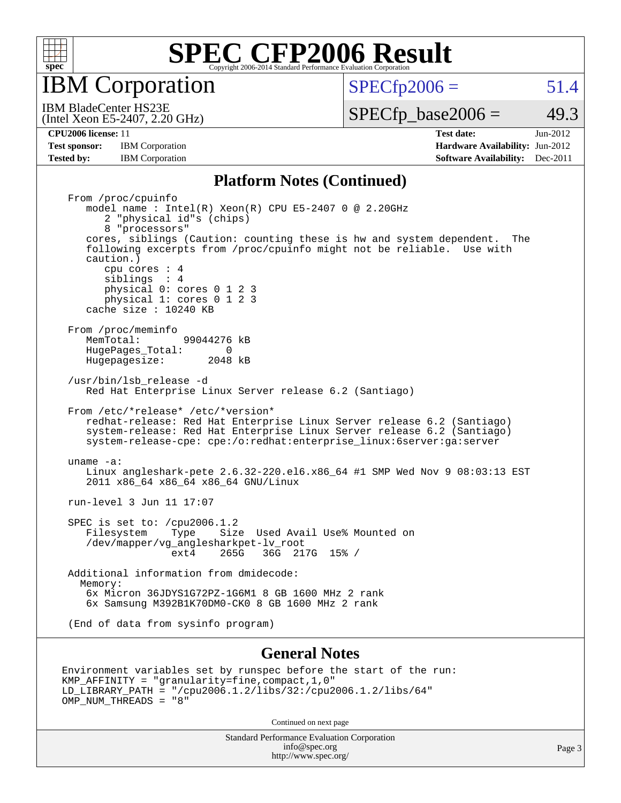

IBM Corporation

 $SPECTp2006 = 51.4$ 

(Intel Xeon E5-2407, 2.20 GHz) IBM BladeCenter HS23E

 $SPECTp\_base2006 = 49.3$ 

**[Test sponsor:](http://www.spec.org/auto/cpu2006/Docs/result-fields.html#Testsponsor)** IBM Corporation **IBM** Corporation **[Hardware Availability:](http://www.spec.org/auto/cpu2006/Docs/result-fields.html#HardwareAvailability)** Jun-2012 **[Tested by:](http://www.spec.org/auto/cpu2006/Docs/result-fields.html#Testedby)** IBM Corporation **[Software Availability:](http://www.spec.org/auto/cpu2006/Docs/result-fields.html#SoftwareAvailability)** Dec-2011

**[CPU2006 license:](http://www.spec.org/auto/cpu2006/Docs/result-fields.html#CPU2006license)** 11 **[Test date:](http://www.spec.org/auto/cpu2006/Docs/result-fields.html#Testdate)** Jun-2012

#### **[Platform Notes \(Continued\)](http://www.spec.org/auto/cpu2006/Docs/result-fields.html#PlatformNotes)**

 From /proc/cpuinfo model name : Intel(R) Xeon(R) CPU E5-2407 0 @ 2.20GHz 2 "physical id"s (chips) 8 "processors" cores, siblings (Caution: counting these is hw and system dependent. The following excerpts from /proc/cpuinfo might not be reliable. Use with caution.) cpu cores : 4 siblings : 4 physical 0: cores 0 1 2 3 physical 1: cores 0 1 2 3 cache size : 10240 KB From /proc/meminfo<br>MemTotal: 99044276 kB HugePages\_Total: 0<br>Hugepagesize: 2048 kB Hugepagesize: /usr/bin/lsb\_release -d Red Hat Enterprise Linux Server release 6.2 (Santiago) From /etc/\*release\* /etc/\*version\* redhat-release: Red Hat Enterprise Linux Server release 6.2 (Santiago) system-release: Red Hat Enterprise Linux Server release 6.2 (Santiago) system-release-cpe: cpe:/o:redhat:enterprise\_linux:6server:ga:server uname -a: Linux angleshark-pete 2.6.32-220.el6.x86\_64 #1 SMP Wed Nov 9 08:03:13 EST 2011 x86\_64 x86\_64 x86\_64 GNU/Linux run-level 3 Jun 11 17:07 SPEC is set to: /cpu2006.1.2<br>Filesystem Type Size Type Size Used Avail Use% Mounted on /dev/mapper/vg\_anglesharkpet-lv\_root ext4 265G 36G 217G 15% / Additional information from dmidecode: Memory: 6x Micron 36JDYS1G72PZ-1G6M1 8 GB 1600 MHz 2 rank 6x Samsung M392B1K70DM0-CK0 8 GB 1600 MHz 2 rank (End of data from sysinfo program)

#### **[General Notes](http://www.spec.org/auto/cpu2006/Docs/result-fields.html#GeneralNotes)**

```
Environment variables set by runspec before the start of the run:
KMP_AFFINITY = "granularity=fine,compact,1,0"
LD_LIBRARY_PATH = "/cpu2006.1.2/libs/32:/cpu2006.1.2/libs/64"
OMP_NUM_THREADS = "8"
```
Continued on next page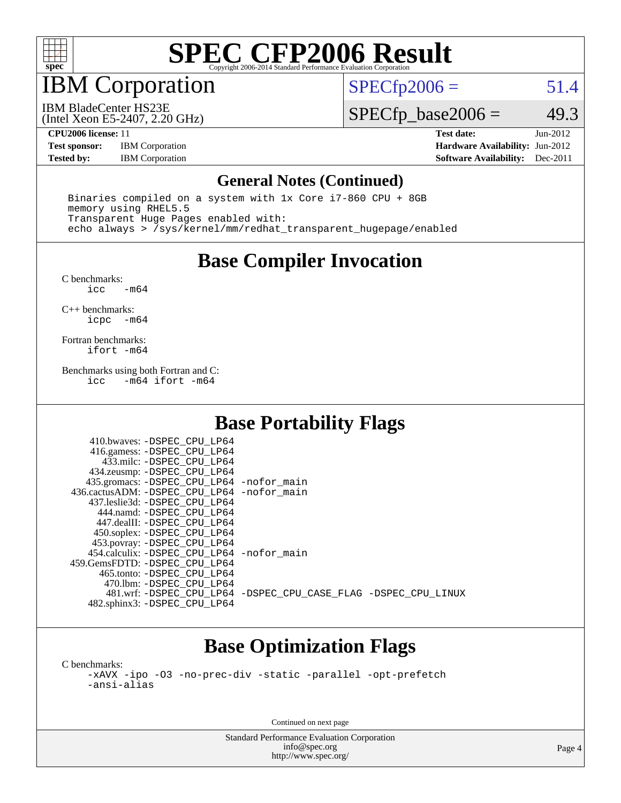

## IBM Corporation

 $SPECTp2006 = 51.4$ 

(Intel Xeon E5-2407, 2.20 GHz) IBM BladeCenter HS23E

 $SPECfp\_base2006 = 49.3$ 

**[Test sponsor:](http://www.spec.org/auto/cpu2006/Docs/result-fields.html#Testsponsor)** IBM Corporation **[Hardware Availability:](http://www.spec.org/auto/cpu2006/Docs/result-fields.html#HardwareAvailability)** Jun-2012

**[CPU2006 license:](http://www.spec.org/auto/cpu2006/Docs/result-fields.html#CPU2006license)** 11 **[Test date:](http://www.spec.org/auto/cpu2006/Docs/result-fields.html#Testdate)** Jun-2012 **[Tested by:](http://www.spec.org/auto/cpu2006/Docs/result-fields.html#Testedby)** IBM Corporation **[Software Availability:](http://www.spec.org/auto/cpu2006/Docs/result-fields.html#SoftwareAvailability)** Dec-2011

#### **[General Notes \(Continued\)](http://www.spec.org/auto/cpu2006/Docs/result-fields.html#GeneralNotes)**

 Binaries compiled on a system with 1x Core i7-860 CPU + 8GB memory using RHEL5.5 Transparent Huge Pages enabled with: echo always > /sys/kernel/mm/redhat\_transparent\_hugepage/enabled

### **[Base Compiler Invocation](http://www.spec.org/auto/cpu2006/Docs/result-fields.html#BaseCompilerInvocation)**

[C benchmarks](http://www.spec.org/auto/cpu2006/Docs/result-fields.html#Cbenchmarks):  $-m64$ 

[C++ benchmarks:](http://www.spec.org/auto/cpu2006/Docs/result-fields.html#CXXbenchmarks) [icpc -m64](http://www.spec.org/cpu2006/results/res2012q3/cpu2006-20120618-23003.flags.html#user_CXXbase_intel_icpc_64bit_bedb90c1146cab66620883ef4f41a67e)

[Fortran benchmarks](http://www.spec.org/auto/cpu2006/Docs/result-fields.html#Fortranbenchmarks): [ifort -m64](http://www.spec.org/cpu2006/results/res2012q3/cpu2006-20120618-23003.flags.html#user_FCbase_intel_ifort_64bit_ee9d0fb25645d0210d97eb0527dcc06e)

[Benchmarks using both Fortran and C](http://www.spec.org/auto/cpu2006/Docs/result-fields.html#BenchmarksusingbothFortranandC):<br>icc -m64 ifort -m64  $-m64$  ifort  $-m64$ 

### **[Base Portability Flags](http://www.spec.org/auto/cpu2006/Docs/result-fields.html#BasePortabilityFlags)**

| 410.bwaves: -DSPEC CPU LP64                  |                                                                |
|----------------------------------------------|----------------------------------------------------------------|
| 416.gamess: - DSPEC_CPU_LP64                 |                                                                |
| 433.milc: -DSPEC CPU LP64                    |                                                                |
| 434.zeusmp: -DSPEC_CPU_LP64                  |                                                                |
| 435.gromacs: -DSPEC_CPU_LP64 -nofor_main     |                                                                |
| 436.cactusADM: - DSPEC CPU LP64 - nofor main |                                                                |
| 437.leslie3d: -DSPEC CPU LP64                |                                                                |
| 444.namd: -DSPEC CPU LP64                    |                                                                |
| 447.dealII: -DSPEC CPU LP64                  |                                                                |
| 450.soplex: -DSPEC_CPU_LP64                  |                                                                |
| 453.povray: -DSPEC_CPU_LP64                  |                                                                |
| 454.calculix: -DSPEC CPU LP64 -nofor main    |                                                                |
| 459.GemsFDTD: - DSPEC_CPU LP64               |                                                                |
| 465.tonto: - DSPEC CPU LP64                  |                                                                |
| 470.1bm: - DSPEC CPU LP64                    |                                                                |
|                                              | 481.wrf: -DSPEC CPU_LP64 -DSPEC_CPU_CASE_FLAG -DSPEC_CPU_LINUX |
| 482.sphinx3: -DSPEC_CPU_LP64                 |                                                                |

## **[Base Optimization Flags](http://www.spec.org/auto/cpu2006/Docs/result-fields.html#BaseOptimizationFlags)**

[C benchmarks](http://www.spec.org/auto/cpu2006/Docs/result-fields.html#Cbenchmarks): [-xAVX](http://www.spec.org/cpu2006/results/res2012q3/cpu2006-20120618-23003.flags.html#user_CCbase_f-xAVX) [-ipo](http://www.spec.org/cpu2006/results/res2012q3/cpu2006-20120618-23003.flags.html#user_CCbase_f-ipo) [-O3](http://www.spec.org/cpu2006/results/res2012q3/cpu2006-20120618-23003.flags.html#user_CCbase_f-O3) [-no-prec-div](http://www.spec.org/cpu2006/results/res2012q3/cpu2006-20120618-23003.flags.html#user_CCbase_f-no-prec-div) [-static](http://www.spec.org/cpu2006/results/res2012q3/cpu2006-20120618-23003.flags.html#user_CCbase_f-static) [-parallel](http://www.spec.org/cpu2006/results/res2012q3/cpu2006-20120618-23003.flags.html#user_CCbase_f-parallel) [-opt-prefetch](http://www.spec.org/cpu2006/results/res2012q3/cpu2006-20120618-23003.flags.html#user_CCbase_f-opt-prefetch) [-ansi-alias](http://www.spec.org/cpu2006/results/res2012q3/cpu2006-20120618-23003.flags.html#user_CCbase_f-ansi-alias)

Continued on next page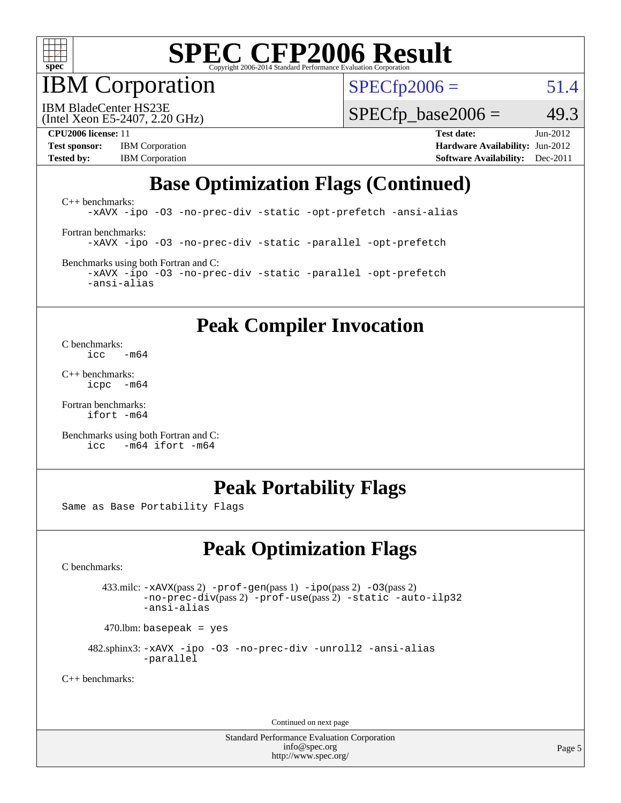

IBM Corporation

 $SPECfp2006 = 51.4$  $SPECfp2006 = 51.4$ 

(Intel Xeon E5-2407, 2.20 GHz) IBM BladeCenter HS23E

 $SPECTp\_base2006 = 49.3$ 

**[Test sponsor:](http://www.spec.org/auto/cpu2006/Docs/result-fields.html#Testsponsor)** IBM Corporation **[Hardware Availability:](http://www.spec.org/auto/cpu2006/Docs/result-fields.html#HardwareAvailability)** Jun-2012

**[CPU2006 license:](http://www.spec.org/auto/cpu2006/Docs/result-fields.html#CPU2006license)** 11 **[Test date:](http://www.spec.org/auto/cpu2006/Docs/result-fields.html#Testdate)** Jun-2012 **[Tested by:](http://www.spec.org/auto/cpu2006/Docs/result-fields.html#Testedby)** IBM Corporation **[Software Availability:](http://www.spec.org/auto/cpu2006/Docs/result-fields.html#SoftwareAvailability)** Dec-2011

## **[Base Optimization Flags \(Continued\)](http://www.spec.org/auto/cpu2006/Docs/result-fields.html#BaseOptimizationFlags)**

[C++ benchmarks:](http://www.spec.org/auto/cpu2006/Docs/result-fields.html#CXXbenchmarks) [-xAVX](http://www.spec.org/cpu2006/results/res2012q3/cpu2006-20120618-23003.flags.html#user_CXXbase_f-xAVX) [-ipo](http://www.spec.org/cpu2006/results/res2012q3/cpu2006-20120618-23003.flags.html#user_CXXbase_f-ipo) [-O3](http://www.spec.org/cpu2006/results/res2012q3/cpu2006-20120618-23003.flags.html#user_CXXbase_f-O3) [-no-prec-div](http://www.spec.org/cpu2006/results/res2012q3/cpu2006-20120618-23003.flags.html#user_CXXbase_f-no-prec-div) [-static](http://www.spec.org/cpu2006/results/res2012q3/cpu2006-20120618-23003.flags.html#user_CXXbase_f-static) [-opt-prefetch](http://www.spec.org/cpu2006/results/res2012q3/cpu2006-20120618-23003.flags.html#user_CXXbase_f-opt-prefetch) [-ansi-alias](http://www.spec.org/cpu2006/results/res2012q3/cpu2006-20120618-23003.flags.html#user_CXXbase_f-ansi-alias) [Fortran benchmarks](http://www.spec.org/auto/cpu2006/Docs/result-fields.html#Fortranbenchmarks): [-xAVX](http://www.spec.org/cpu2006/results/res2012q3/cpu2006-20120618-23003.flags.html#user_FCbase_f-xAVX) [-ipo](http://www.spec.org/cpu2006/results/res2012q3/cpu2006-20120618-23003.flags.html#user_FCbase_f-ipo) [-O3](http://www.spec.org/cpu2006/results/res2012q3/cpu2006-20120618-23003.flags.html#user_FCbase_f-O3) [-no-prec-div](http://www.spec.org/cpu2006/results/res2012q3/cpu2006-20120618-23003.flags.html#user_FCbase_f-no-prec-div) [-static](http://www.spec.org/cpu2006/results/res2012q3/cpu2006-20120618-23003.flags.html#user_FCbase_f-static) [-parallel](http://www.spec.org/cpu2006/results/res2012q3/cpu2006-20120618-23003.flags.html#user_FCbase_f-parallel) [-opt-prefetch](http://www.spec.org/cpu2006/results/res2012q3/cpu2006-20120618-23003.flags.html#user_FCbase_f-opt-prefetch) [Benchmarks using both Fortran and C](http://www.spec.org/auto/cpu2006/Docs/result-fields.html#BenchmarksusingbothFortranandC):

[-xAVX](http://www.spec.org/cpu2006/results/res2012q3/cpu2006-20120618-23003.flags.html#user_CC_FCbase_f-xAVX) [-ipo](http://www.spec.org/cpu2006/results/res2012q3/cpu2006-20120618-23003.flags.html#user_CC_FCbase_f-ipo) [-O3](http://www.spec.org/cpu2006/results/res2012q3/cpu2006-20120618-23003.flags.html#user_CC_FCbase_f-O3) [-no-prec-div](http://www.spec.org/cpu2006/results/res2012q3/cpu2006-20120618-23003.flags.html#user_CC_FCbase_f-no-prec-div) [-static](http://www.spec.org/cpu2006/results/res2012q3/cpu2006-20120618-23003.flags.html#user_CC_FCbase_f-static) [-parallel](http://www.spec.org/cpu2006/results/res2012q3/cpu2006-20120618-23003.flags.html#user_CC_FCbase_f-parallel) [-opt-prefetch](http://www.spec.org/cpu2006/results/res2012q3/cpu2006-20120618-23003.flags.html#user_CC_FCbase_f-opt-prefetch) [-ansi-alias](http://www.spec.org/cpu2006/results/res2012q3/cpu2006-20120618-23003.flags.html#user_CC_FCbase_f-ansi-alias)

#### **[Peak Compiler Invocation](http://www.spec.org/auto/cpu2006/Docs/result-fields.html#PeakCompilerInvocation)**

[C benchmarks](http://www.spec.org/auto/cpu2006/Docs/result-fields.html#Cbenchmarks):  $\frac{1}{2}$ cc  $-\text{m64}$ 

[C++ benchmarks:](http://www.spec.org/auto/cpu2006/Docs/result-fields.html#CXXbenchmarks) [icpc -m64](http://www.spec.org/cpu2006/results/res2012q3/cpu2006-20120618-23003.flags.html#user_CXXpeak_intel_icpc_64bit_bedb90c1146cab66620883ef4f41a67e)

[Fortran benchmarks](http://www.spec.org/auto/cpu2006/Docs/result-fields.html#Fortranbenchmarks): [ifort -m64](http://www.spec.org/cpu2006/results/res2012q3/cpu2006-20120618-23003.flags.html#user_FCpeak_intel_ifort_64bit_ee9d0fb25645d0210d97eb0527dcc06e)

[Benchmarks using both Fortran and C](http://www.spec.org/auto/cpu2006/Docs/result-fields.html#BenchmarksusingbothFortranandC): [icc -m64](http://www.spec.org/cpu2006/results/res2012q3/cpu2006-20120618-23003.flags.html#user_CC_FCpeak_intel_icc_64bit_0b7121f5ab7cfabee23d88897260401c) [ifort -m64](http://www.spec.org/cpu2006/results/res2012q3/cpu2006-20120618-23003.flags.html#user_CC_FCpeak_intel_ifort_64bit_ee9d0fb25645d0210d97eb0527dcc06e)

#### **[Peak Portability Flags](http://www.spec.org/auto/cpu2006/Docs/result-fields.html#PeakPortabilityFlags)**

Same as Base Portability Flags

## **[Peak Optimization Flags](http://www.spec.org/auto/cpu2006/Docs/result-fields.html#PeakOptimizationFlags)**

[C benchmarks](http://www.spec.org/auto/cpu2006/Docs/result-fields.html#Cbenchmarks):

 433.milc: [-xAVX](http://www.spec.org/cpu2006/results/res2012q3/cpu2006-20120618-23003.flags.html#user_peakPASS2_CFLAGSPASS2_LDFLAGS433_milc_f-xAVX)(pass 2) [-prof-gen](http://www.spec.org/cpu2006/results/res2012q3/cpu2006-20120618-23003.flags.html#user_peakPASS1_CFLAGSPASS1_LDFLAGS433_milc_prof_gen_e43856698f6ca7b7e442dfd80e94a8fc)(pass 1) [-ipo](http://www.spec.org/cpu2006/results/res2012q3/cpu2006-20120618-23003.flags.html#user_peakPASS2_CFLAGSPASS2_LDFLAGS433_milc_f-ipo)(pass 2) [-O3](http://www.spec.org/cpu2006/results/res2012q3/cpu2006-20120618-23003.flags.html#user_peakPASS2_CFLAGSPASS2_LDFLAGS433_milc_f-O3)(pass 2) [-no-prec-div](http://www.spec.org/cpu2006/results/res2012q3/cpu2006-20120618-23003.flags.html#user_peakPASS2_CFLAGSPASS2_LDFLAGS433_milc_f-no-prec-div)(pass 2) [-prof-use](http://www.spec.org/cpu2006/results/res2012q3/cpu2006-20120618-23003.flags.html#user_peakPASS2_CFLAGSPASS2_LDFLAGS433_milc_prof_use_bccf7792157ff70d64e32fe3e1250b55)(pass 2) [-static](http://www.spec.org/cpu2006/results/res2012q3/cpu2006-20120618-23003.flags.html#user_peakOPTIMIZE433_milc_f-static) [-auto-ilp32](http://www.spec.org/cpu2006/results/res2012q3/cpu2006-20120618-23003.flags.html#user_peakCOPTIMIZE433_milc_f-auto-ilp32) [-ansi-alias](http://www.spec.org/cpu2006/results/res2012q3/cpu2006-20120618-23003.flags.html#user_peakCOPTIMIZE433_milc_f-ansi-alias)

 $470.$ lbm: basepeak = yes

 482.sphinx3: [-xAVX](http://www.spec.org/cpu2006/results/res2012q3/cpu2006-20120618-23003.flags.html#user_peakOPTIMIZE482_sphinx3_f-xAVX) [-ipo](http://www.spec.org/cpu2006/results/res2012q3/cpu2006-20120618-23003.flags.html#user_peakOPTIMIZE482_sphinx3_f-ipo) [-O3](http://www.spec.org/cpu2006/results/res2012q3/cpu2006-20120618-23003.flags.html#user_peakOPTIMIZE482_sphinx3_f-O3) [-no-prec-div](http://www.spec.org/cpu2006/results/res2012q3/cpu2006-20120618-23003.flags.html#user_peakOPTIMIZE482_sphinx3_f-no-prec-div) [-unroll2](http://www.spec.org/cpu2006/results/res2012q3/cpu2006-20120618-23003.flags.html#user_peakCOPTIMIZE482_sphinx3_f-unroll_784dae83bebfb236979b41d2422d7ec2) [-ansi-alias](http://www.spec.org/cpu2006/results/res2012q3/cpu2006-20120618-23003.flags.html#user_peakCOPTIMIZE482_sphinx3_f-ansi-alias) [-parallel](http://www.spec.org/cpu2006/results/res2012q3/cpu2006-20120618-23003.flags.html#user_peakCOPTIMIZE482_sphinx3_f-parallel)

[C++ benchmarks:](http://www.spec.org/auto/cpu2006/Docs/result-fields.html#CXXbenchmarks)

Continued on next page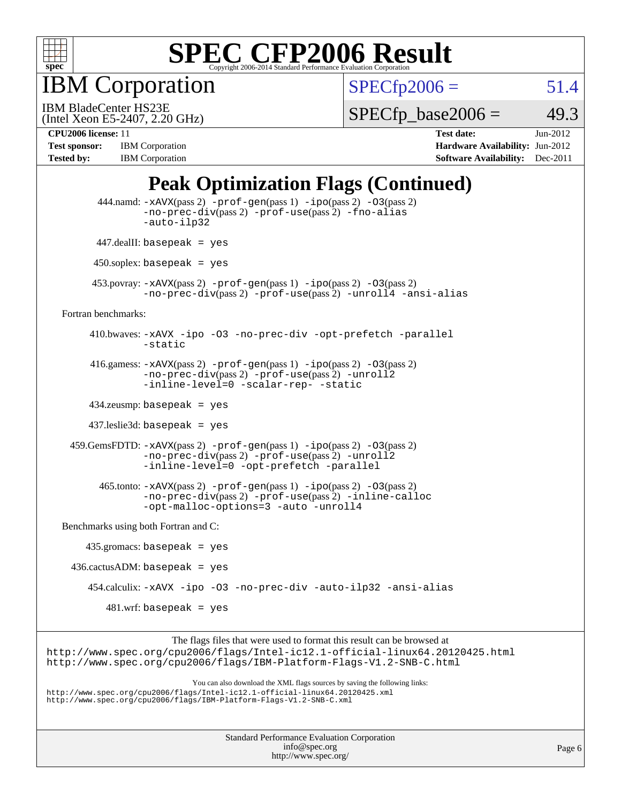

IBM Corporation

 $SPECfp2006 = 51.4$  $SPECfp2006 = 51.4$ 

(Intel Xeon E5-2407, 2.20 GHz) IBM BladeCenter HS23E

 $SPECTp\_base2006 = 49.3$ 

**[Test sponsor:](http://www.spec.org/auto/cpu2006/Docs/result-fields.html#Testsponsor)** IBM Corporation **[Hardware Availability:](http://www.spec.org/auto/cpu2006/Docs/result-fields.html#HardwareAvailability)** Jun-2012

**[CPU2006 license:](http://www.spec.org/auto/cpu2006/Docs/result-fields.html#CPU2006license)** 11 **[Test date:](http://www.spec.org/auto/cpu2006/Docs/result-fields.html#Testdate)** Jun-2012 **[Tested by:](http://www.spec.org/auto/cpu2006/Docs/result-fields.html#Testedby)** IBM Corporation **[Software Availability:](http://www.spec.org/auto/cpu2006/Docs/result-fields.html#SoftwareAvailability)** Dec-2011

### **[Peak Optimization Flags \(Continued\)](http://www.spec.org/auto/cpu2006/Docs/result-fields.html#PeakOptimizationFlags)**

|                                      | 444.namd: -xAVX(pass 2) -prof-gen(pass 1) -ipo(pass 2) -03(pass 2)<br>$-no\text{-prec-div}(pass 2)$ -prof-use(pass 2) -fno-alias<br>-auto-ilp32                                                                                   |
|--------------------------------------|-----------------------------------------------------------------------------------------------------------------------------------------------------------------------------------------------------------------------------------|
|                                      | $447$ .dealII: basepeak = yes                                                                                                                                                                                                     |
|                                      | $450$ .soplex: basepeak = yes                                                                                                                                                                                                     |
|                                      | 453. povray: $-xAUX(pass 2)$ -prof-gen(pass 1) -ipo(pass 2) -03(pass 2)<br>-no-prec-div(pass 2) -prof-use(pass 2) -unroll4 -ansi-alias                                                                                            |
| Fortran benchmarks:                  |                                                                                                                                                                                                                                   |
|                                      | 410.bwaves: -xAVX -ipo -03 -no-prec-div -opt-prefetch -parallel<br>-static                                                                                                                                                        |
|                                      | 416.gamess: $-x$ AVX(pass 2) $-prof-gen(pass 1) -ipo(pass 2) -03(pass 2)$<br>-no-prec-div(pass 2) -prof-use(pass 2) -unroll2<br>-inline-level=0 -scalar-rep- -static                                                              |
|                                      | $434$ .zeusmp: basepeak = yes                                                                                                                                                                                                     |
|                                      | $437$ .leslie3d: basepeak = yes                                                                                                                                                                                                   |
|                                      | $459.GemsFDTD: -xAVX(pass 2) -prof-gen(pass 1) -ipo(pass 2) -O3(pass 2)$<br>-no-prec-div(pass 2) -prof-use(pass 2) -unroll2<br>-inline-level=0 -opt-prefetch -parallel                                                            |
|                                      | 465.tonto: -xAVX(pass 2) -prof-gen(pass 1) -ipo(pass 2) -03(pass 2)<br>-no-prec-div(pass 2) -prof-use(pass 2) -inline-calloc<br>-opt-malloc-options=3 -auto -unroll4                                                              |
| Benchmarks using both Fortran and C: |                                                                                                                                                                                                                                   |
| $435.gromacs: basepeak = yes$        |                                                                                                                                                                                                                                   |
| $436.cactusADM:basepeak = yes$       |                                                                                                                                                                                                                                   |
|                                      | 454.calculix: -xAVX -ipo -03 -no-prec-div -auto-ilp32 -ansi-alias                                                                                                                                                                 |
|                                      | $481.wrf$ : basepeak = yes                                                                                                                                                                                                        |
|                                      | The flags files that were used to format this result can be browsed at                                                                                                                                                            |
|                                      | http://www.spec.org/cpu2006/flags/Intel-ic12.1-official-linux64.20120425.html<br>http://www.spec.org/cpu2006/flags/IBM-Platform-Flags-V1.2-SNB-C.html                                                                             |
|                                      | You can also download the XML flags sources by saving the following links:<br>http://www.spec.org/cpu2006/flags/Intel-icl2.1-official-linux64.20120425.xml<br>http://www.spec.org/cpu2006/flags/IBM-Platform-Flags-V1.2-SNB-C.xml |